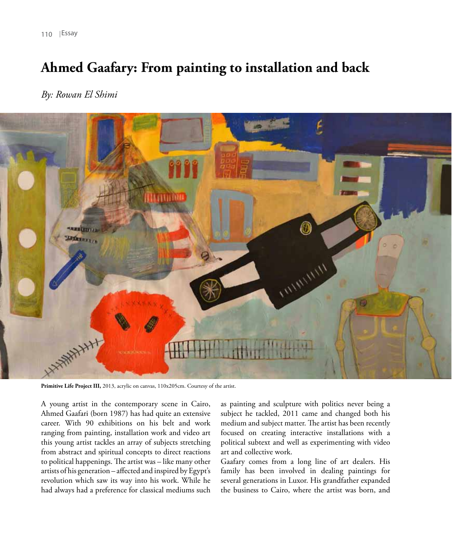110 | Essay

## **Ahmed Gaafary: From painting to installation and back**

*By: Rowan El Shimi*



Primitive Life Project III, 2013, acrylic on canvas, 110x205cm. Courtesy of the artist.

A young artist in the contemporary scene in Cairo, Ahmed Gaafari (born 1987) has had quite an extensive career. With 90 exhibitions on his belt and work ranging from painting, installation work and video art this young artist tackles an array of subjects stretching from abstract and spiritual concepts to direct reactions to political happenings. The artist was – like many other artists of his generation – affected and inspired by Egypt's revolution which saw its way into his work. While he had always had a preference for classical mediums such as painting and sculpture with politics never being a subject he tackled, 2011 came and changed both his medium and subject matter. The artist has been recently focused on creating interactive installations with a political subtext and well as experimenting with video art and collective work.

Gaafary comes from a long line of art dealers. His family has been involved in dealing paintings for several generations in Luxor. His grandfather expanded the business to Cairo, where the artist was born, and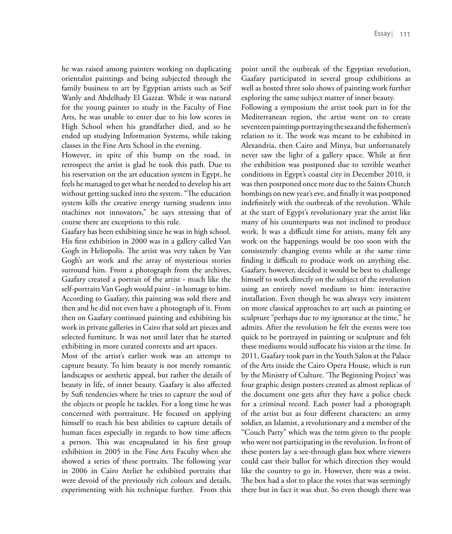he was raised among painters working on duplicating orientalist paintings and being subjected through the family business to art by Egyptian artists such as Seif Wanly and Abdelhady El Gazzar. While it was natural for the young painter to study in the Faculty of Fine Arts, he was unable to enter due to his low scores in High School when his grandfather died, and so he ended up studying Information Systems, while taking classes in the Fine Arts School in the evening.

However, in spite of this bump on the road, in retrospect the artist is glad he took this path. Due to his reservation on the art education system in Egypt, he feels he managed to get what he needed to develop his art without getting sucked into the system. "The education system kills the creative energy turning students into machines not innovators," he says stressing that of course there are exceptions to this rule.

Gaafary has been exhibiting since he was in high school. His first exhibition in 2000 was in a gallery called Van Gogh in Heliopolis. The artist was very taken by Van Gogh's art work and the array of mysterious stories surround him. From a photograph from the archives, Gaafary created a portrait of the artist - much like the self-portraits Van Gogh would paint - in homage to him. According to Gaafary, this painting was sold there and then and he did not even have a photograph of it. From then on Gaafary continued painting and exhibiting his work in private galleries in Cairo that sold art pieces and selected furniture. It was not until later that he started exhibiting in more curated contexts and art spaces.

Most of the artist's earlier work was an attempt to capture beauty. To him beauty is not merely romantic landscapes or aesthetic appeal, but rather the details of beauty in life, of inner beauty. Gaafary is also affected by Sufi tendencies where he tries to capture the soul of the objects or people he tackles. For a long time he was concerned with portraiture. He focused on applying himself to reach his best abilities to capture details of human faces especially in regards to how time affects a person. This was encapsulated in his first group exhibition in 2005 in the Fine Arts Faculty when she showed a series of these portraits. The following year in 2006 in Cairo Atelier he exhibited portraits that were devoid of the previously rich colours and details, experimenting with his technique further. From this

point until the outbreak of the Egyptian revolution, Gaafary participated in several group exhibitions as well as hosted three solo shows of painting work further exploring the same subject matter of inner beauty.

Following a symposium the artist took part in for the Mediterranean region, the artist went on to create seventeen paintings portraying the sea and the fishermen's relation to it. The work was meant to be exhibited in Alexandria, then Cairo and Minya, but unfortunately never saw the light of a gallery space. While at first the exhibition was postponed due to terrible weather conditions in Egypt's coastal city in December 2010, it was then postponed once more due to the Saints Church bombings on new year's eve, and finally it was postponed indefinitely with the outbreak of the revolution. While at the start of Egypt's revolutionary year the artist like many of his counterparts was not inclined to produce work. It was a difficult time for artists, many felt any work on the happenings would be too soon with the consistently changing events while at the same time finding it difficult to produce work on anything else. Gaafary, however, decided it would be best to challenge himself to work directly on the subject of the revolution using an entirely novel medium to him: interactive installation. Even though he was always very insistent on more classical approaches to art such as painting or sculpture "perhaps due to my ignorance at the time," he admits. After the revolution he felt the events were too quick to be portrayed in painting or sculpture and felt these mediums would suffocate his vision at the time. In 2011, Gaafary took part in the Youth Salon at the Palace of the Arts inside the Cairo Opera House, which is run by the Ministry of Culture. 'The Beginning Project' was four graphic design posters created as almost replicas of the document one gets after they have a police check for a criminal record. Each poster had a photograph of the artist but as four different characters: an army soldier, an Islamist, a revolutionary and a member of the "Couch Party" which was the term given to the people who were not participating in the revolution. In front of these posters lay a see-through glass box where viewers could cast their ballot for which direction they would like the country to go in. However, there was a twist. The box had a slot to place the votes that was seemingly there but in fact it was shut. So even though there was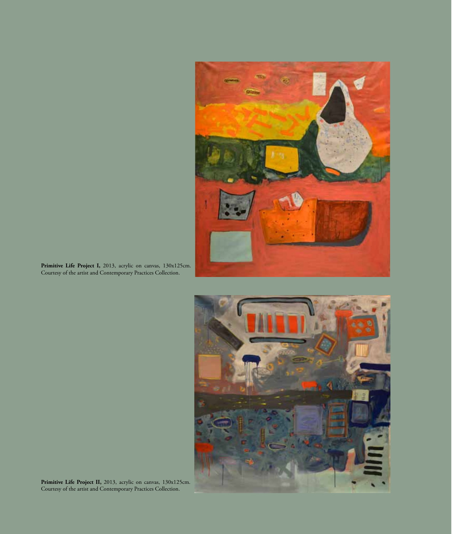

**Primitive Life Project I,** 2013, acrylic on canvas, 130x125cm. Courtesy of the artist and Contemporary Practices Collection.



**Primitive Life Project II,** 2013, acrylic on canvas, 130x125cm. Courtesy of the artist and Contemporary Practices Collection.